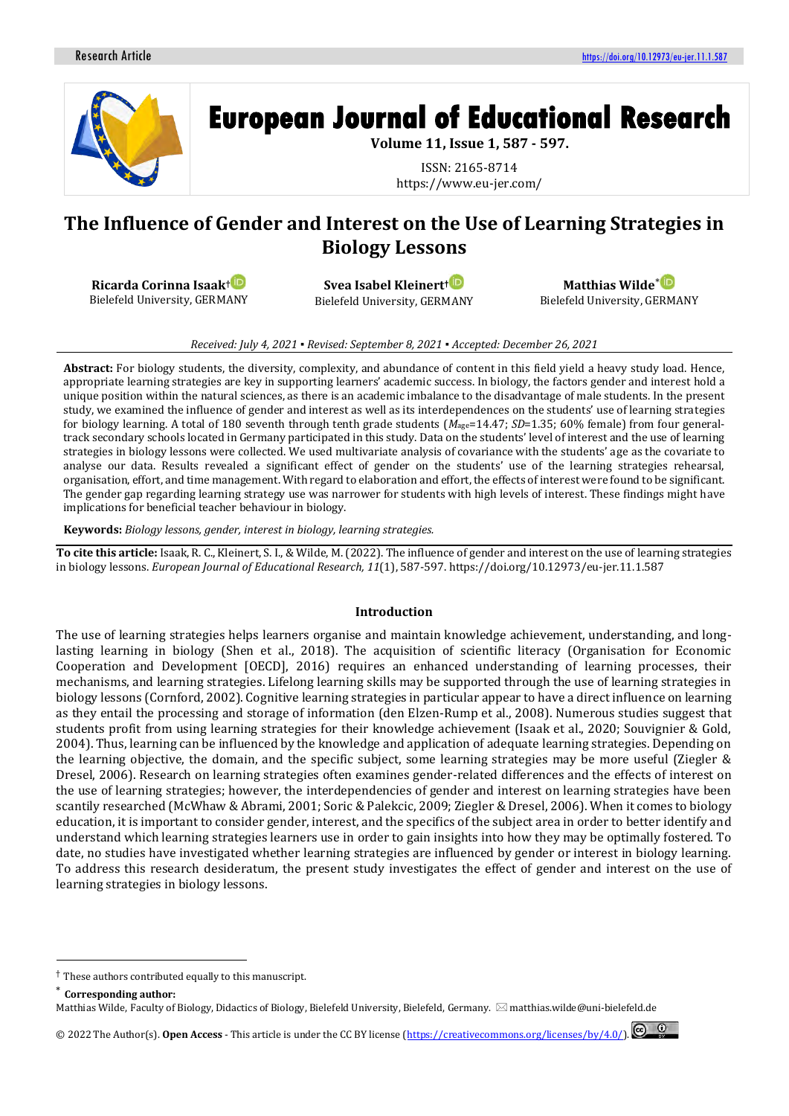

# **European Journal of Educational Research**

**Volume 11, Issue 1, 587 - 597.**

ISSN: 2165-8714 https://www.eu-jer.com/

# **The Influence of Gender and Interest on the Use of Learning Strategies in Biology Lessons**

**Ricarda Corinna Isaak†** Bielefeld University, GERMANY

**Svea Isabel Kleinert**† Bielefeld University, GERMANY

**Matthias Wilde**[\\*](https://orcid.org/0000-0002-1630-3263) Bielefeld University, GERMANY

#### *Received: July 4, 2021 ▪ Revised: September 8, 2021 ▪ Accepted: December 26, 2021*

**Abstract:** For biology students, the diversity, complexity, and abundance of content in this field yield a heavy study load. Hence, appropriate learning strategies are key in supporting learners' academic success. In biology, the factors gender and interest hold a unique position within the natural sciences, as there is an academic imbalance to the disadvantage of male students. In the present study, we examined the influence of gender and interest as well as its interdependences on the students' use of learning strategies for biology learning. A total of 180 seventh through tenth grade students (*M*age=14.47; *SD*=1.35; 60% female) from four generaltrack secondary schools located in Germany participated in this study. Data on the students' level of interest and the use of learning strategies in biology lessons were collected. We used multivariate analysis of covariance with the students' age as the covariate to analyse our data. Results revealed a significant effect of gender on the students' use of the learning strategies rehearsal, organisation, effort, and time management. With regard to elaboration and effort, the effects of interest were found to be significant. The gender gap regarding learning strategy use was narrower for students with high levels of interest. These findings might have implications for beneficial teacher behaviour in biology.

**Keywords:** *Biology lessons, gender, interest in biology, learning strategies.*

**To cite this article:** Isaak, R. C., Kleinert, S. I., & Wilde, M. (2022). The influence of gender and interest on the use of learning strategies in biology lessons. *European Journal of Educational Research, 11*(1), 587-597. https://doi.org/10.12973/eu-jer.11.1.587

#### **Introduction**

The use of learning strategies helps learners organise and maintain knowledge achievement, understanding, and longlasting learning in biology (Shen et al., 2018). The acquisition of scientific literacy (Organisation for Economic Cooperation and Development [OECD], 2016) requires an enhanced understanding of learning processes, their mechanisms, and learning strategies. Lifelong learning skills may be supported through the use of learning strategies in biology lessons (Cornford, 2002). Cognitive learning strategies in particular appear to have a direct influence on learning as they entail the processing and storage of information (den Elzen-Rump et al., 2008). Numerous studies suggest that students profit from using learning strategies for their knowledge achievement (Isaak et al., 2020; Souvignier & Gold, 2004). Thus, learning can be influenced by the knowledge and application of adequate learning strategies. Depending on the learning objective, the domain, and the specific subject, some learning strategies may be more useful (Ziegler & Dresel, 2006). Research on learning strategies often examines gender-related differences and the effects of interest on the use of learning strategies; however, the interdependencies of gender and interest on learning strategies have been scantily researched (McWhaw & Abrami, 2001; Soric & Palekcic, 2009; Ziegler & Dresel, 2006). When it comes to biology education, it is important to consider gender, interest, and the specifics of the subject area in order to better identify and understand which learning strategies learners use in order to gain insights into how they may be optimally fostered. To date, no studies have investigated whether learning strategies are influenced by gender or interest in biology learning. To address this research desideratum, the present study investigates the effect of gender and interest on the use of learning strategies in biology lessons.

© 2022 The Author(s). **Open Access** - This article is under the CC BY license [\(https://creativecommons.org/licenses/by/4.0/\)](https://creativecommons.org/licenses/by/4.0/).

<sup>†</sup> These authors contributed equally to this manuscript.

**Corresponding author:** 

Matthias Wilde, Faculty of Biology, Didactics of Biology, Bielefeld University, Bielefeld, Germany.  $\boxtimes$  matthias.wilde@uni-bielefeld.de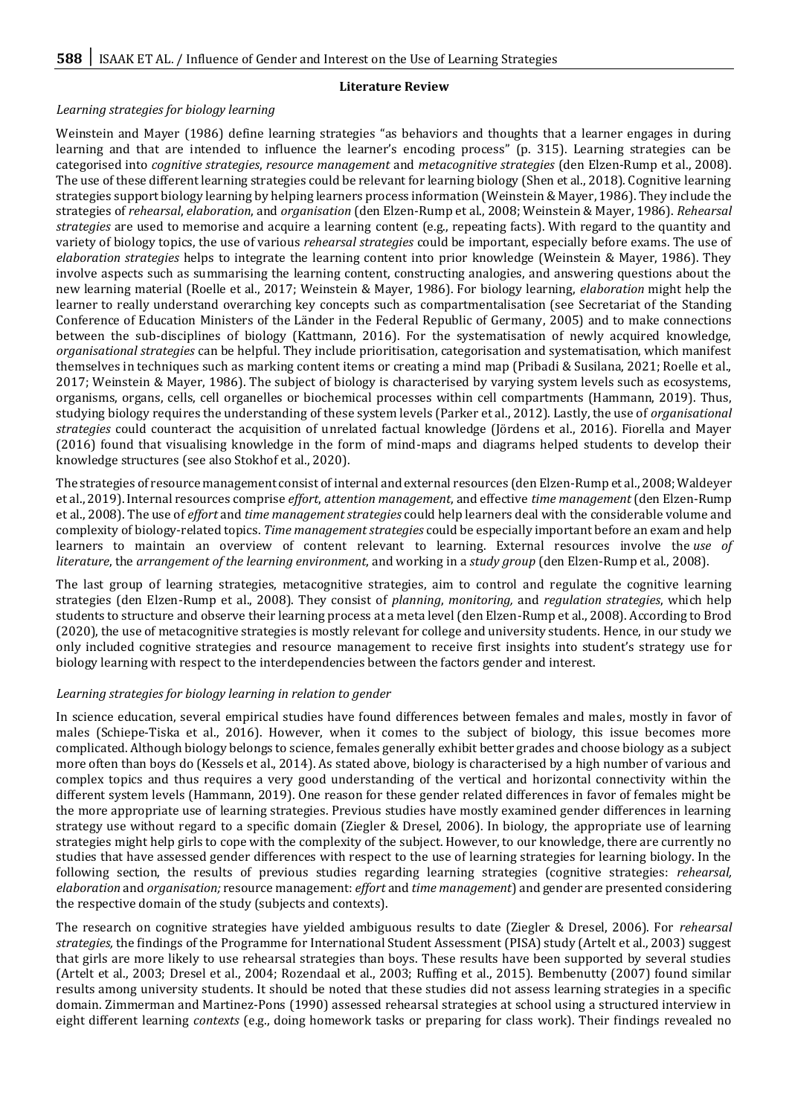#### **Literature Review**

## *Learning strategies for biology learning*

Weinstein and Mayer (1986) define learning strategies "as behaviors and thoughts that a learner engages in during learning and that are intended to influence the learner's encoding process" (p. 315). Learning strategies can be categorised into *cognitive strategies*, *resource management* and *metacognitive strategies* (den Elzen-Rump et al., 2008). The use of these different learning strategies could be relevant for learning biology (Shen et al., 2018). Cognitive learning strategies support biology learning by helping learners process information (Weinstein & Mayer, 1986). They include the strategies of *rehearsal*, *elaboration*, and *organisation* (den Elzen-Rump et al., 2008; Weinstein & Mayer, 1986). *Rehearsal strategies* are used to memorise and acquire a learning content (e.g., repeating facts). With regard to the quantity and variety of biology topics, the use of various *rehearsal strategies* could be important, especially before exams. The use of *elaboration strategies* helps to integrate the learning content into prior knowledge (Weinstein & Mayer, 1986). They involve aspects such as summarising the learning content, constructing analogies, and answering questions about the new learning material (Roelle et al., 2017; Weinstein & Mayer, 1986). For biology learning, *elaboration* might help the learner to really understand overarching key concepts such as compartmentalisation (see Secretariat of the Standing Conference of Education Ministers of the Länder in the Federal Republic of Germany, 2005) and to make connections between the sub-disciplines of biology (Kattmann, 2016). For the systematisation of newly acquired knowledge, *organisational strategies* can be helpful. They include prioritisation, categorisation and systematisation, which manifest themselves in techniques such as marking content items or creating a mind map (Pribadi & Susilana, 2021; Roelle et al., 2017; Weinstein & Mayer, 1986). The subject of biology is characterised by varying system levels such as ecosystems, organisms, organs, cells, cell organelles or biochemical processes within cell compartments (Hammann, 2019). Thus, studying biology requires the understanding of these system levels (Parker et al., 2012). Lastly, the use of *organisational strategies* could counteract the acquisition of unrelated factual knowledge (Jördens et al., 2016). Fiorella and Mayer (2016) found that visualising knowledge in the form of mind-maps and diagrams helped students to develop their knowledge structures (see also Stokhof et al., 2020).

The strategies of resource management consist of internal and external resources (den Elzen-Rump et al., 2008; Waldeyer et al., 2019). Internal resources comprise *effort*, *attention management*, and effective *time management* (den Elzen-Rump et al., 2008). The use of *effort* and *time management strategies* could help learners deal with the considerable volume and complexity of biology-related topics. *Time management strategies* could be especially important before an exam and help learners to maintain an overview of content relevant to learning. External resources involve the *use of literature*, the *arrangement of the learning environment*, and working in a *study group* (den Elzen-Rump et al., 2008).

The last group of learning strategies, metacognitive strategies, aim to control and regulate the cognitive learning strategies (den Elzen-Rump et al., 2008). They consist of *planning*, *monitoring,* and *regulation strategies*, which help students to structure and observe their learning process at a meta level (den Elzen-Rump et al., 2008). According to Brod (2020), the use of metacognitive strategies is mostly relevant for college and university students. Hence, in our study we only included cognitive strategies and resource management to receive first insights into student's strategy use for biology learning with respect to the interdependencies between the factors gender and interest.

#### *Learning strategies for biology learning in relation to gender*

In science education, several empirical studies have found differences between females and males, mostly in favor of males (Schiepe-Tiska et al., 2016). However, when it comes to the subject of biology, this issue becomes more complicated. Although biology belongs to science, females generally exhibit better grades and choose biology as a subject more often than boys do (Kessels et al., 2014). As stated above, biology is characterised by a high number of various and complex topics and thus requires a very good understanding of the vertical and horizontal connectivity within the different system levels (Hammann, 2019). One reason for these gender related differences in favor of females might be the more appropriate use of learning strategies. Previous studies have mostly examined gender differences in learning strategy use without regard to a specific domain (Ziegler & Dresel, 2006). In biology, the appropriate use of learning strategies might help girls to cope with the complexity of the subject. However, to our knowledge, there are currently no studies that have assessed gender differences with respect to the use of learning strategies for learning biology. In the following section, the results of previous studies regarding learning strategies (cognitive strategies: *rehearsal, elaboration* and *organisation;* resource management: *effort* and *time management*) and gender are presented considering the respective domain of the study (subjects and contexts).

The research on cognitive strategies have yielded ambiguous results to date (Ziegler & Dresel, 2006). For *rehearsal strategies,* the findings of the Programme for International Student Assessment (PISA) study (Artelt et al., 2003) suggest that girls are more likely to use rehearsal strategies than boys. These results have been supported by several studies (Artelt et al., 2003; Dresel et al., 2004; Rozendaal et al., 2003; Ruffing et al., 2015). Bembenutty (2007) found similar results among university students. It should be noted that these studies did not assess learning strategies in a specific domain. Zimmerman and Martinez-Pons (1990) assessed rehearsal strategies at school using a structured interview in eight different learning *contexts* (e.g., doing homework tasks or preparing for class work). Their findings revealed no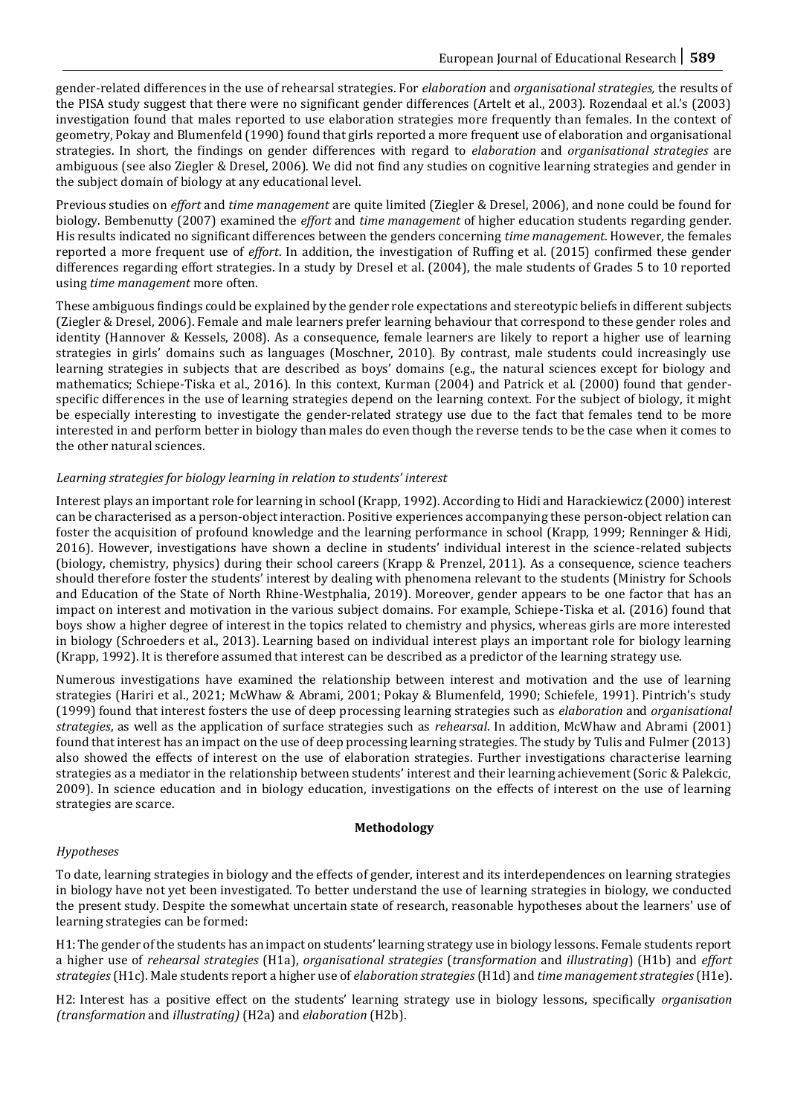gender-related differences in the use of rehearsal strategies. For *elaboration* and *organisational strategies,* the results of the PISA study suggest that there were no significant gender differences (Artelt et al., 2003). Rozendaal et al.'s (2003) investigation found that males reported to use elaboration strategies more frequently than females. In the context of geometry, Pokay and Blumenfeld (1990) found that girls reported a more frequent use of elaboration and organisational strategies. In short, the findings on gender differences with regard to *elaboration* and *organisational strategies* are ambiguous (see also Ziegler & Dresel, 2006). We did not find any studies on cognitive learning strategies and gender in the subject domain of biology at any educational level.

Previous studies on *effort* and *time management* are quite limited (Ziegler & Dresel, 2006), and none could be found for biology. Bembenutty (2007) examined the *effort* and *time management* of higher education students regarding gender. His results indicated no significant differences between the genders concerning *time management*. However, the females reported a more frequent use of *effort*. In addition, the investigation of Ruffing et al. (2015) confirmed these gender differences regarding effort strategies. In a study by Dresel et al. (2004), the male students of Grades 5 to 10 reported using *time management* more often.

These ambiguous findings could be explained by the gender role expectations and stereotypic beliefs in different subjects (Ziegler & Dresel, 2006). Female and male learners prefer learning behaviour that correspond to these gender roles and identity (Hannover & Kessels, 2008). As a consequence, female learners are likely to report a higher use of learning strategies in girls' domains such as languages (Moschner, 2010). By contrast, male students could increasingly use learning strategies in subjects that are described as boys' domains (e.g., the natural sciences except for biology and mathematics; Schiepe-Tiska et al., 2016). In this context, Kurman (2004) and Patrick et al. (2000) found that genderspecific differences in the use of learning strategies depend on the learning context. For the subject of biology, it might be especially interesting to investigate the gender-related strategy use due to the fact that females tend to be more interested in and perform better in biology than males do even though the reverse tends to be the case when it comes to the other natural sciences.

# *Learning strategies for biology learning in relation to students' interest*

Interest plays an important role for learning in school (Krapp, 1992). According to Hidi and Harackiewicz (2000) interest can be characterised as a person-object interaction. Positive experiences accompanying these person-object relation can foster the acquisition of profound knowledge and the learning performance in school (Krapp, 1999; Renninger & Hidi, 2016). However, investigations have shown a decline in students' individual interest in the science-related subjects (biology, chemistry, physics) during their school careers (Krapp & Prenzel, 2011). As a consequence, science teachers should therefore foster the students' interest by dealing with phenomena relevant to the students (Ministry for Schools and Education of the State of North Rhine-Westphalia, 2019). Moreover, gender appears to be one factor that has an impact on interest and motivation in the various subject domains. For example, Schiepe-Tiska et al. (2016) found that boys show a higher degree of interest in the topics related to chemistry and physics, whereas girls are more interested in biology (Schroeders et al., 2013). Learning based on individual interest plays an important role for biology learning (Krapp, 1992). It is therefore assumed that interest can be described as a predictor of the learning strategy use.

Numerous investigations have examined the relationship between interest and motivation and the use of learning strategies (Hariri et al., 2021; McWhaw & Abrami, 2001; Pokay & Blumenfeld, 1990; Schiefele, 1991). Pintrich's study (1999) found that interest fosters the use of deep processing learning strategies such as *elaboration* and *organisational strategies*, as well as the application of surface strategies such as *rehearsal*. In addition, McWhaw and Abrami (2001) found that interest has an impact on the use of deep processing learning strategies. The study by Tulis and Fulmer (2013) also showed the effects of interest on the use of elaboration strategies. Further investigations characterise learning strategies as a mediator in the relationship between students' interest and their learning achievement (Soric & Palekcic, 2009). In science education and in biology education, investigations on the effects of interest on the use of learning strategies are scarce.

# **Methodology**

# *Hypotheses*

To date, learning strategies in biology and the effects of gender, interest and its interdependences on learning strategies in biology have not yet been investigated. To better understand the use of learning strategies in biology, we conducted the present study. Despite the somewhat uncertain state of research, reasonable hypotheses about the learners' use of learning strategies can be formed:

H1:The gender of the students has an impact on students' learning strategy use in biology lessons. Female students report a higher use of *rehearsal strategies* (H1a), *organisational strategies* (*transformation* and *illustrating*) (H1b) and *effort strategies* (H1c). Male students report a higher use of *elaboration strategies* (H1d) and *time management strategies* (H1e).

H2: Interest has a positive effect on the students' learning strategy use in biology lessons, specifically *organisation (transformation* and *illustrating)* (H2a) and *elaboration* (H2b).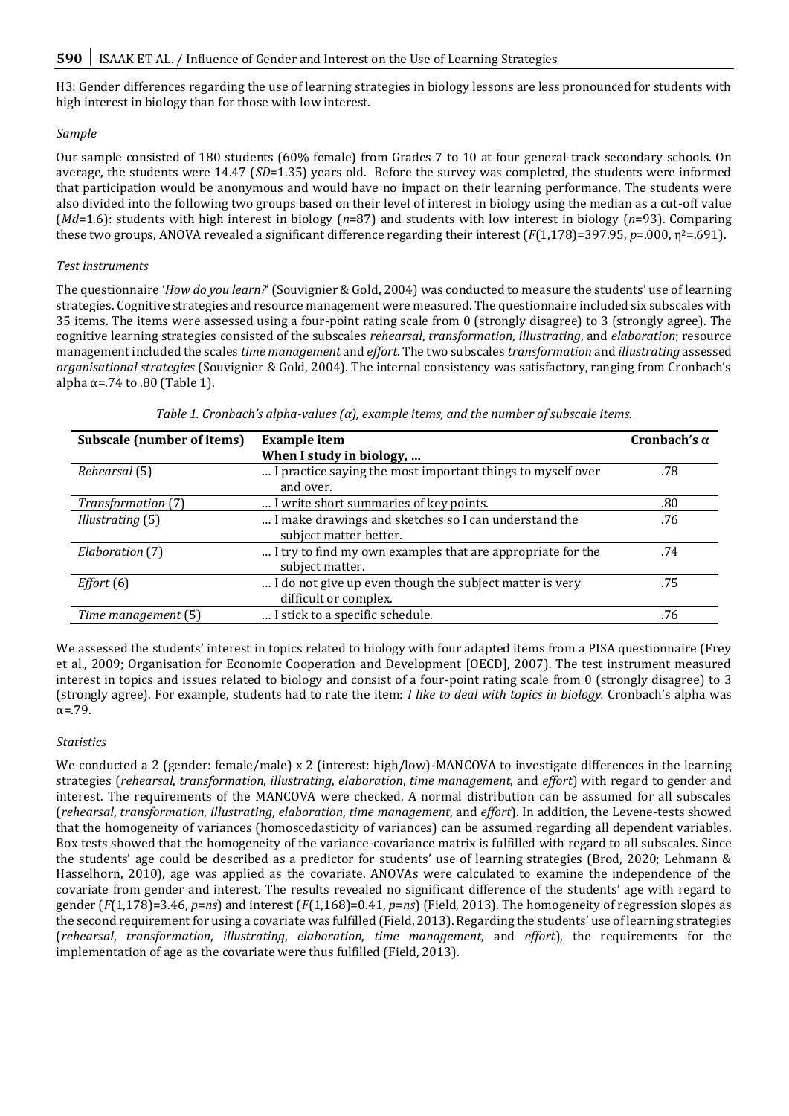H3: Gender differences regarding the use of learning strategies in biology lessons are less pronounced for students with high interest in biology than for those with low interest.

# *Sample*

Our sample consisted of 180 students (60% female) from Grades 7 to 10 at four general-track secondary schools. On average, the students were 14.47 (*SD*=1.35) years old. Before the survey was completed, the students were informed that participation would be anonymous and would have no impact on their learning performance. The students were also divided into the following two groups based on their level of interest in biology using the median as a cut-off value (*Md*=1.6): students with high interest in biology (*n*=87) and students with low interest in biology (*n*=93). Comparing these two groups, ANOVA revealed a significant difference regarding their interest (*F*(1,178)=397.95, *p*=.000, η<sup>2</sup>=.691).

## *Test instruments*

The questionnaire '*How do you learn?*' (Souvignier & Gold, 2004) was conducted to measure the students' use of learning strategies. Cognitive strategies and resource management were measured. The questionnaire included six subscales with 35 items. The items were assessed using a four-point rating scale from 0 (strongly disagree) to 3 (strongly agree). The cognitive learning strategies consisted of the subscales *rehearsal*, *transformation*, *illustrating*, and *elaboration*; resource management included the scales *time management* and *effort*. The two subscales *transformation* and *illustrating* assessed *organisational strategies* (Souvignier & Gold, 2004). The internal consistency was satisfactory, ranging from Cronbach's alpha  $\alpha$ =.74 to .80 (Table 1).

| Subscale (number of items) | <b>Example</b> item                                        | Cronbach's $\alpha$ |
|----------------------------|------------------------------------------------------------|---------------------|
|                            | When I study in biology,                                   |                     |
| Rehearsal (5)              | I practice saying the most important things to myself over | .78                 |
|                            | and over.                                                  |                     |
| Transformation (7)         | I write short summaries of key points.                     | .80                 |
| Illustrating (5)           | I make drawings and sketches so I can understand the       | .76                 |
|                            | subject matter better.                                     |                     |
| Elaboration (7)            | I try to find my own examples that are appropriate for the | .74                 |
|                            | subject matter.                                            |                     |
| Effort(6)                  | I do not give up even though the subject matter is very    | .75                 |
|                            | difficult or complex.                                      |                     |
| Time management (5)        | I stick to a specific schedule.                            | .76                 |

*Table 1. Cronbach's alpha-values (α), example items, and the number of subscale items.* 

We assessed the students' interest in topics related to biology with four adapted items from a PISA questionnaire (Frey et al., 2009; Organisation for Economic Cooperation and Development [OECD], 2007). The test instrument measured interest in topics and issues related to biology and consist of a four-point rating scale from 0 (strongly disagree) to 3 (strongly agree). For example, students had to rate the item: *I like to deal with topics in biology.* Cronbach's alpha was  $\alpha = 79$ .

# *Statistics*

We conducted a 2 (gender: female/male) x 2 (interest: high/low)-MANCOVA to investigate differences in the learning strategies (*rehearsal*, *transformation*, *illustrating*, *elaboration*, *time management*, and *effort*) with regard to gender and interest. The requirements of the MANCOVA were checked. A normal distribution can be assumed for all subscales (*rehearsal*, *transformation*, *illustrating*, *elaboration*, *time management*, and *effort*). In addition, the Levene-tests showed that the homogeneity of variances (homoscedasticity of variances) can be assumed regarding all dependent variables. Box tests showed that the homogeneity of the variance-covariance matrix is fulfilled with regard to all subscales. Since the students' age could be described as a predictor for students' use of learning strategies (Brod, 2020; Lehmann & Hasselhorn, 2010), age was applied as the covariate. ANOVAs were calculated to examine the independence of the covariate from gender and interest. The results revealed no significant difference of the students' age with regard to gender (*F*(1,178)=3.46, *p*=*ns*) and interest (*F*(1,168)=0.41, *p*=*ns*) (Field, 2013). The homogeneity of regression slopes as the second requirement for using a covariate was fulfilled (Field, 2013). Regarding the students' use of learning strategies (*rehearsal*, *transformation*, *illustrating*, *elaboration*, *time management*, and *effort*), the requirements for the implementation of age as the covariate were thus fulfilled (Field, 2013).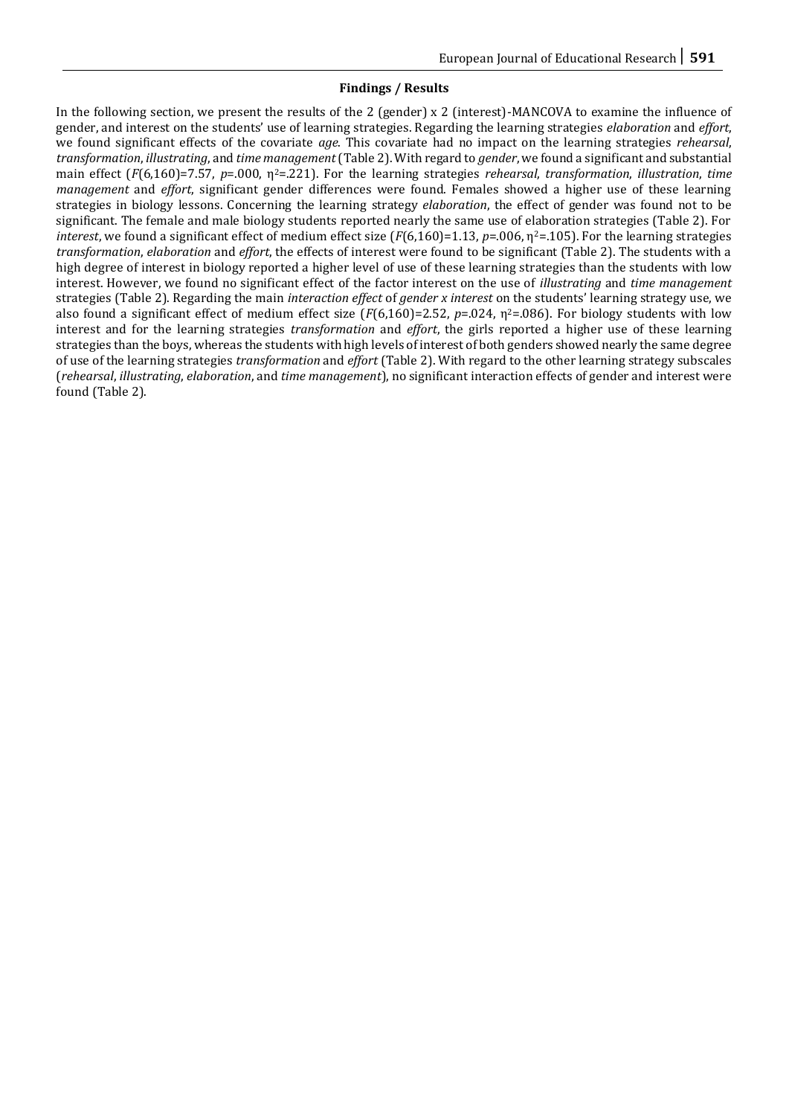## **Findings / Results**

In the following section, we present the results of the 2 (gender) x 2 (interest)-MANCOVA to examine the influence of gender, and interest on the students' use of learning strategies. Regarding the learning strategies *elaboration* and *effort*, we found significant effects of the covariate *age*. This covariate had no impact on the learning strategies *rehearsal*, *transformation*, *illustrating*, and *time management*(Table 2). With regard to *gender*, we found a significant and substantial main effect (*F*(6,160)=7.57, *p*=.000, η2=.221). For the learning strategies *rehearsal*, *transformation*, *illustration*, *time management* and *effort*, significant gender differences were found. Females showed a higher use of these learning strategies in biology lessons. Concerning the learning strategy *elaboration*, the effect of gender was found not to be significant. The female and male biology students reported nearly the same use of elaboration strategies (Table 2). For *interest*, we found a significant effect of medium effect size  $(F(6,160)=1.13, p=.006, \eta^2=.105)$ . For the learning strategies *transformation*, *elaboration* and *effort*, the effects of interest were found to be significant (Table 2). The students with a high degree of interest in biology reported a higher level of use of these learning strategies than the students with low interest. However, we found no significant effect of the factor interest on the use of *illustrating* and *time management* strategies (Table 2). Regarding the main *interaction effect* of *gender x interest* on the students' learning strategy use, we also found a significant effect of medium effect size  $(F(6,160)=2.52, p=.024, \eta^2=.086)$ . For biology students with low interest and for the learning strategies *transformation* and *effort*, the girls reported a higher use of these learning strategies than the boys, whereas the students with high levels of interest of both genders showed nearly the same degree of use of the learning strategies *transformation* and *effort* (Table 2). With regard to the other learning strategy subscales (*rehearsal*, *illustrating*, *elaboration*, and *time management*), no significant interaction effects of gender and interest were found (Table 2).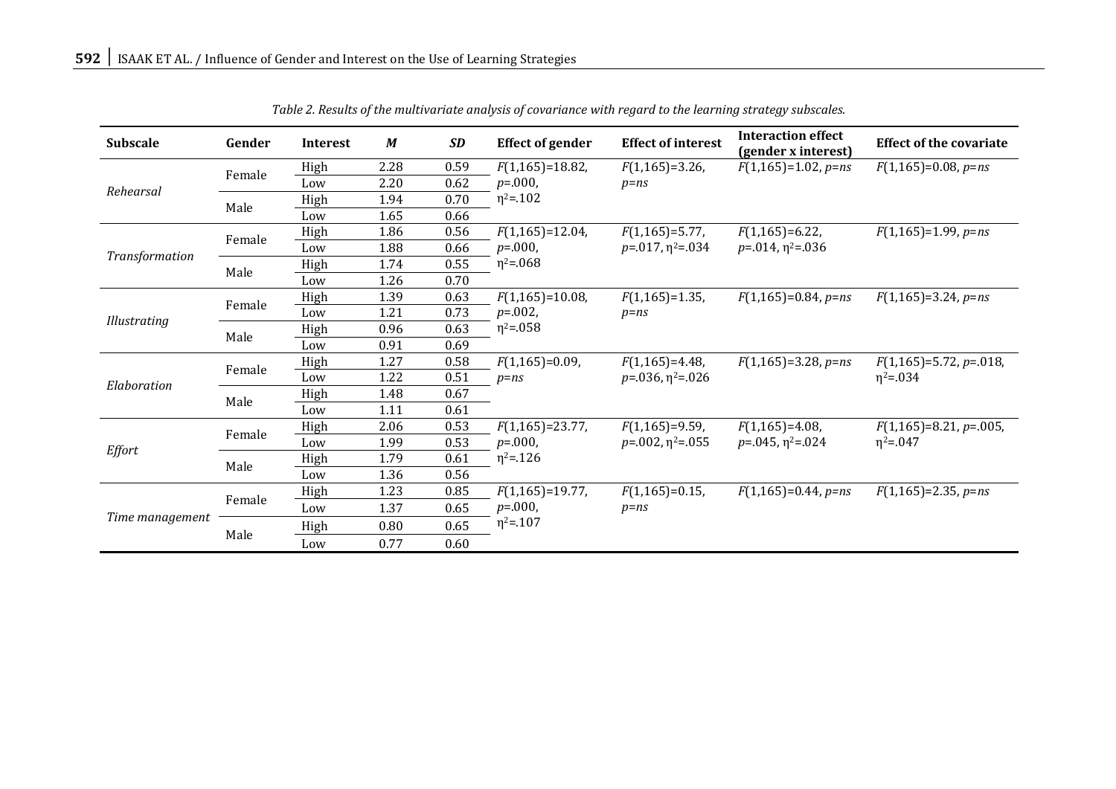| <b>Subscale</b> | Gender | <b>Interest</b> | $\boldsymbol{M}$ | <b>SD</b> | <b>Effect of gender</b>         | <b>Effect of interest</b>                       | <b>Interaction effect</b><br>(gender x interest) | <b>Effect of the covariate</b>               |
|-----------------|--------|-----------------|------------------|-----------|---------------------------------|-------------------------------------------------|--------------------------------------------------|----------------------------------------------|
| Rehearsal       | Female | High            | 2.28             | 0.59      | $F(1,165)=18.82$                | $F(1,165)=3.26$                                 | $F(1,165)=1.02$ , $p=ns$                         | $F(1,165)=0.08$ , $p=ns$                     |
|                 |        | Low             | 2.20             | 0.62      | $p = 000$                       | $p = ns$                                        |                                                  |                                              |
|                 | Male   | High            | 1.94             | 0.70      | $\eta^2 = 102$                  |                                                 |                                                  |                                              |
|                 |        | Low             | 1.65             | 0.66      |                                 |                                                 |                                                  |                                              |
| Transformation  | Female | High            | 1.86             | 0.56      | $F(1,165)=12.04$ ,              | $F(1,165)=5.77$ ,                               | $F(1,165)=6.22$                                  | $F(1,165)=1.99$ , $p=ns$                     |
|                 |        | Low             | 1.88             | 0.66      | $p = 000$                       | $p = 017, \eta^2 = 034$                         | $p = 014$ , $\eta^2 = 0.036$                     |                                              |
|                 | Male   | High            | 1.74             | 0.55      | $\eta^2 = 0.068$                |                                                 |                                                  |                                              |
|                 |        | Low             | 1.26             | 0.70      |                                 |                                                 |                                                  |                                              |
| Illustrating    | Female | High            | 1.39             | 0.63      | $F(1,165)=10.08$ ,              | $F(1,165)=1.35$ ,                               | $F(1,165)=0.84$ , $p=ns$                         | $F(1,165)=3.24, p=ns$                        |
|                 |        | Low             | 1.21             | 0.73      | $p = 0.002$<br>$\eta^2 = 0.058$ | $p = ns$                                        |                                                  |                                              |
|                 | Male   | High            | 0.96             | 0.63      |                                 |                                                 |                                                  |                                              |
|                 |        | Low             | 0.91             | 0.69      |                                 |                                                 |                                                  |                                              |
| Elaboration     | Female | High            | 1.27             | 0.58      | $F(1,165)=0.09$ ,<br>$p = ns$   | $F(1,165)=4.48$ ,<br>$p = 036$ , $\eta^2 = 026$ | $F(1,165)=3.28$ , $p=ns$                         | $F(1,165)=5.72, p=.018,$<br>$\eta^2 = 0.034$ |
|                 |        | Low             | 1.22             | 0.51      |                                 |                                                 |                                                  |                                              |
|                 | Male   | High            | 1.48             | 0.67      |                                 |                                                 |                                                  |                                              |
|                 |        | Low             | 1.11             | 0.61      |                                 |                                                 |                                                  |                                              |
| Effort          | Female | High            | 2.06             | 0.53      | $F(1,165)=23.77$ ,              | $F(1,165)=9.59$ ,                               | $F(1,165)=4.08$ ,                                | $F(1,165)=8.21, p=.005,$                     |
|                 |        | Low             | 1.99             | 0.53      | $p = 000$                       | $p = 002$ , $\eta^2 = 055$                      | $p = 0.045, \eta^2 = 0.024$                      | $\eta^2 = 0.047$                             |
|                 | Male   | High            | 1.79             | 0.61      | $\eta^2 = 126$                  |                                                 |                                                  |                                              |
|                 |        | Low             | 1.36             | 0.56      |                                 |                                                 |                                                  |                                              |
| Time management | Female | High            | 1.23             | 0.85      | $F(1,165)=19.77$ ,              | $F(1,165)=0.15$ ,                               | $F(1,165)=0.44$ , p=ns                           | $F(1,165)=2.35, p=ns$                        |
|                 |        | Low             | 1.37             | 0.65      | $p = 000$                       | $p = ns$                                        |                                                  |                                              |
|                 | Male   | High            | 0.80             | 0.65      | $\eta^2 = 107$                  |                                                 |                                                  |                                              |
|                 |        | Low             | 0.77             | 0.60      |                                 |                                                 |                                                  |                                              |

*Table 2. Results of the multivariate analysis of covariance with regard to the learning strategy subscales.*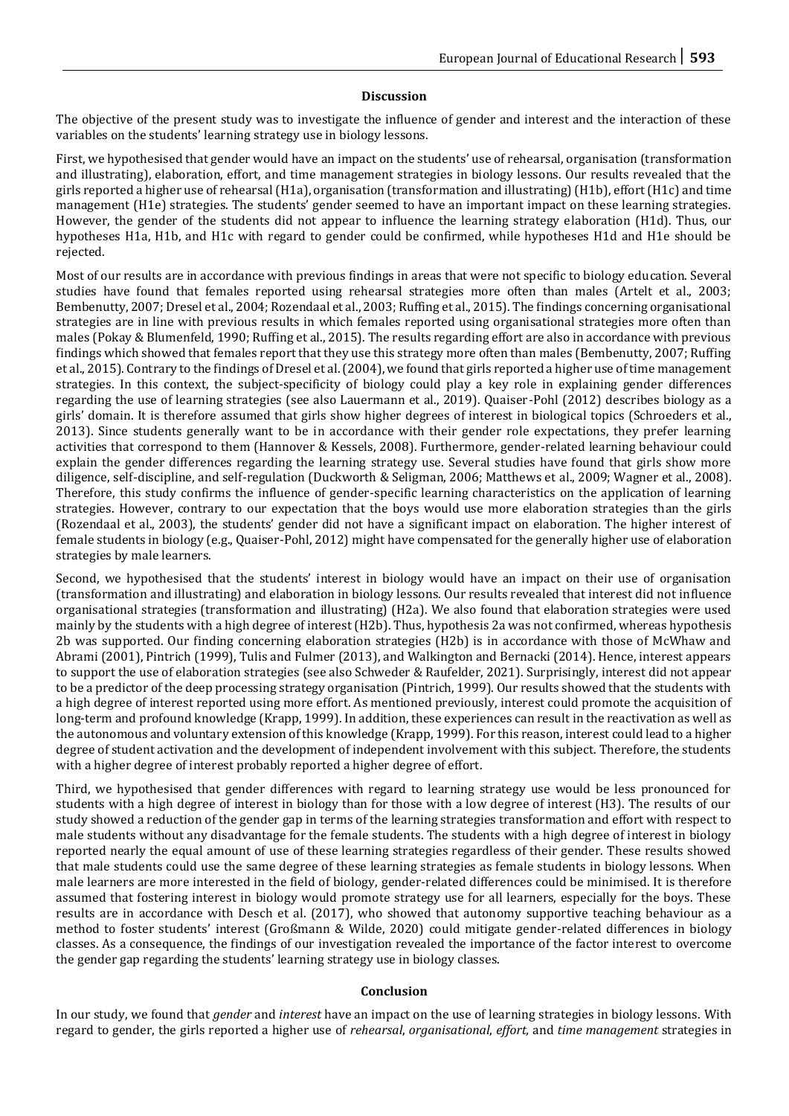#### **Discussion**

The objective of the present study was to investigate the influence of gender and interest and the interaction of these variables on the students' learning strategy use in biology lessons.

First, we hypothesised that gender would have an impact on the students' use of rehearsal, organisation (transformation and illustrating), elaboration, effort, and time management strategies in biology lessons. Our results revealed that the girls reported a higher use of rehearsal (H1a), organisation (transformation and illustrating) (H1b), effort (H1c) and time management (H1e) strategies. The students' gender seemed to have an important impact on these learning strategies. However, the gender of the students did not appear to influence the learning strategy elaboration (H1d). Thus, our hypotheses H1a, H1b, and H1c with regard to gender could be confirmed, while hypotheses H1d and H1e should be rejected.

Most of our results are in accordance with previous findings in areas that were not specific to biology education. Several studies have found that females reported using rehearsal strategies more often than males (Artelt et al., 2003; Bembenutty, 2007; Dresel et al., 2004; Rozendaal et al., 2003; Ruffing et al., 2015). The findings concerning organisational strategies are in line with previous results in which females reported using organisational strategies more often than males (Pokay & Blumenfeld, 1990; Ruffing et al., 2015). The results regarding effort are also in accordance with previous findings which showed that females report that they use this strategy more often than males (Bembenutty, 2007; Ruffing et al., 2015). Contrary to the findings of Dresel et al. (2004), we found that girls reported a higher use of time management strategies. In this context, the subject-specificity of biology could play a key role in explaining gender differences regarding the use of learning strategies (see also Lauermann et al., 2019). Quaiser-Pohl (2012) describes biology as a girls' domain. It is therefore assumed that girls show higher degrees of interest in biological topics (Schroeders et al., 2013). Since students generally want to be in accordance with their gender role expectations, they prefer learning activities that correspond to them (Hannover & Kessels, 2008). Furthermore, gender-related learning behaviour could explain the gender differences regarding the learning strategy use. Several studies have found that girls show more diligence, self-discipline, and self-regulation (Duckworth & Seligman, 2006; Matthews et al., 2009; Wagner et al., 2008). Therefore, this study confirms the influence of gender-specific learning characteristics on the application of learning strategies. However, contrary to our expectation that the boys would use more elaboration strategies than the girls (Rozendaal et al., 2003), the students' gender did not have a significant impact on elaboration. The higher interest of female students in biology (e.g., Quaiser-Pohl, 2012) might have compensated for the generally higher use of elaboration strategies by male learners.

Second, we hypothesised that the students' interest in biology would have an impact on their use of organisation (transformation and illustrating) and elaboration in biology lessons. Our results revealed that interest did not influence organisational strategies (transformation and illustrating) (H2a). We also found that elaboration strategies were used mainly by the students with a high degree of interest (H2b). Thus, hypothesis 2a was not confirmed, whereas hypothesis 2b was supported. Our finding concerning elaboration strategies (H2b) is in accordance with those of McWhaw and Abrami (2001), Pintrich (1999), Tulis and Fulmer (2013), and Walkington and Bernacki (2014). Hence, interest appears to support the use of elaboration strategies (see also Schweder & Raufelder, 2021). Surprisingly, interest did not appear to be a predictor of the deep processing strategy organisation (Pintrich, 1999). Our results showed that the students with a high degree of interest reported using more effort. As mentioned previously, interest could promote the acquisition of long-term and profound knowledge (Krapp, 1999). In addition, these experiences can result in the reactivation as well as the autonomous and voluntary extension of this knowledge (Krapp, 1999). For this reason, interest could lead to a higher degree of student activation and the development of independent involvement with this subject. Therefore, the students with a higher degree of interest probably reported a higher degree of effort.

Third, we hypothesised that gender differences with regard to learning strategy use would be less pronounced for students with a high degree of interest in biology than for those with a low degree of interest (H3). The results of our study showed a reduction of the gender gap in terms of the learning strategies transformation and effort with respect to male students without any disadvantage for the female students. The students with a high degree of interest in biology reported nearly the equal amount of use of these learning strategies regardless of their gender. These results showed that male students could use the same degree of these learning strategies as female students in biology lessons. When male learners are more interested in the field of biology, gender-related differences could be minimised. It is therefore assumed that fostering interest in biology would promote strategy use for all learners, especially for the boys. These results are in accordance with Desch et al. (2017), who showed that autonomy supportive teaching behaviour as a method to foster students' interest (Großmann & Wilde, 2020) could mitigate gender-related differences in biology classes. As a consequence, the findings of our investigation revealed the importance of the factor interest to overcome the gender gap regarding the students' learning strategy use in biology classes.

#### **Conclusion**

In our study, we found that *gender* and *interest* have an impact on the use of learning strategies in biology lessons. With regard to gender, the girls reported a higher use of *rehearsal*, *organisational*, *effort,* and *time management* strategies in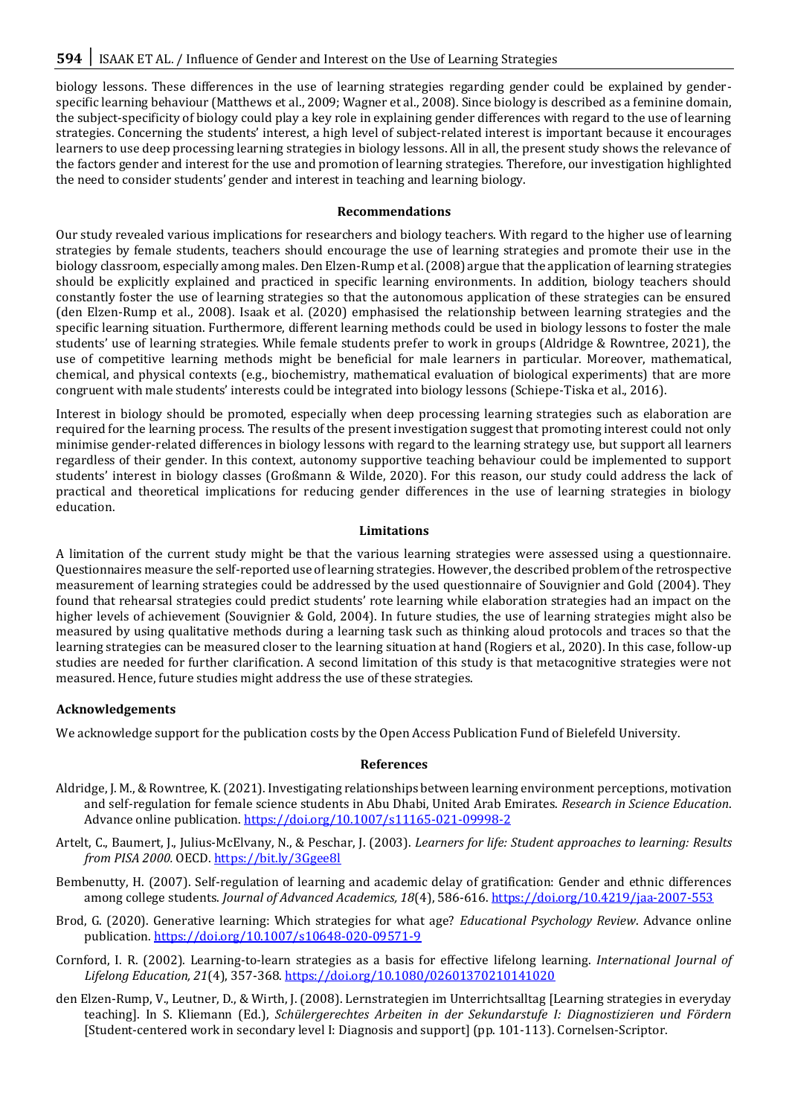biology lessons. These differences in the use of learning strategies regarding gender could be explained by genderspecific learning behaviour (Matthews et al., 2009; Wagner et al., 2008). Since biology is described as a feminine domain, the subject-specificity of biology could play a key role in explaining gender differences with regard to the use of learning strategies. Concerning the students' interest, a high level of subject-related interest is important because it encourages learners to use deep processing learning strategies in biology lessons. All in all, the present study shows the relevance of the factors gender and interest for the use and promotion of learning strategies. Therefore, our investigation highlighted the need to consider students' gender and interest in teaching and learning biology.

#### **Recommendations**

Our study revealed various implications for researchers and biology teachers. With regard to the higher use of learning strategies by female students, teachers should encourage the use of learning strategies and promote their use in the biology classroom, especially among males. Den Elzen-Rump et al. (2008) argue that the application of learning strategies should be explicitly explained and practiced in specific learning environments. In addition, biology teachers should constantly foster the use of learning strategies so that the autonomous application of these strategies can be ensured (den Elzen-Rump et al., 2008). Isaak et al. (2020) emphasised the relationship between learning strategies and the specific learning situation. Furthermore, different learning methods could be used in biology lessons to foster the male students' use of learning strategies. While female students prefer to work in groups (Aldridge & Rowntree, 2021), the use of competitive learning methods might be beneficial for male learners in particular. Moreover, mathematical, chemical, and physical contexts (e.g., biochemistry, mathematical evaluation of biological experiments) that are more congruent with male students' interests could be integrated into biology lessons (Schiepe-Tiska et al., 2016).

Interest in biology should be promoted, especially when deep processing learning strategies such as elaboration are required for the learning process. The results of the present investigation suggest that promoting interest could not only minimise gender-related differences in biology lessons with regard to the learning strategy use, but support all learners regardless of their gender. In this context, autonomy supportive teaching behaviour could be implemented to support students' interest in biology classes (Großmann & Wilde, 2020). For this reason, our study could address the lack of practical and theoretical implications for reducing gender differences in the use of learning strategies in biology education.

## **Limitations**

A limitation of the current study might be that the various learning strategies were assessed using a questionnaire. Questionnaires measure the self-reported use of learning strategies. However, the described problem of the retrospective measurement of learning strategies could be addressed by the used questionnaire of Souvignier and Gold (2004). They found that rehearsal strategies could predict students' rote learning while elaboration strategies had an impact on the higher levels of achievement (Souvignier & Gold, 2004). In future studies, the use of learning strategies might also be measured by using qualitative methods during a learning task such as thinking aloud protocols and traces so that the learning strategies can be measured closer to the learning situation at hand (Rogiers et al., 2020). In this case, follow-up studies are needed for further clarification. A second limitation of this study is that metacognitive strategies were not measured. Hence, future studies might address the use of these strategies.

# **Acknowledgements**

We acknowledge support for the publication costs by the Open Access Publication Fund of Bielefeld University.

#### **References**

- Aldridge, J. M., & Rowntree, K. (2021). Investigating relationships between learning environment perceptions, motivation and self-regulation for female science students in Abu Dhabi, United Arab Emirates. *Research in Science Education*. Advance online publication.<https://doi.org/10.1007/s11165-021-09998-2>
- Artelt, C., Baumert, J., Julius-McElvany, N., & Peschar, J. (2003). *Learners for life: Student approaches to learning: Results from PISA 2000.* OECD. <https://bit.ly/3Ggee8l>
- Bembenutty, H. (2007). Self-regulation of learning and academic delay of gratification: Gender and ethnic differences among college students. *Journal of Advanced Academics, 18*(4), 586-616.<https://doi.org/10.4219/jaa-2007-553>
- Brod, G. (2020). Generative learning: Which strategies for what age? *Educational Psychology Review*. Advance online publication. <https://doi.org/10.1007/s10648-020-09571-9>
- Cornford, I. R. (2002). Learning-to-learn strategies as a basis for effective lifelong learning. *International Journal of Lifelong Education, 21*(4), 357-368[. https://doi.org/10.1080/02601370210141020](https://doi.org/10.1080/02601370210141020)
- den Elzen-Rump, V., Leutner, D., & Wirth, J. (2008). Lernstrategien im Unterrichtsalltag [Learning strategies in everyday teaching]. In S. Kliemann (Ed.), *Schülergerechtes Arbeiten in der Sekundarstufe I: Diagnostizieren und Fördern*  [Student-centered work in secondary level I: Diagnosis and support] (pp. 101-113). Cornelsen-Scriptor.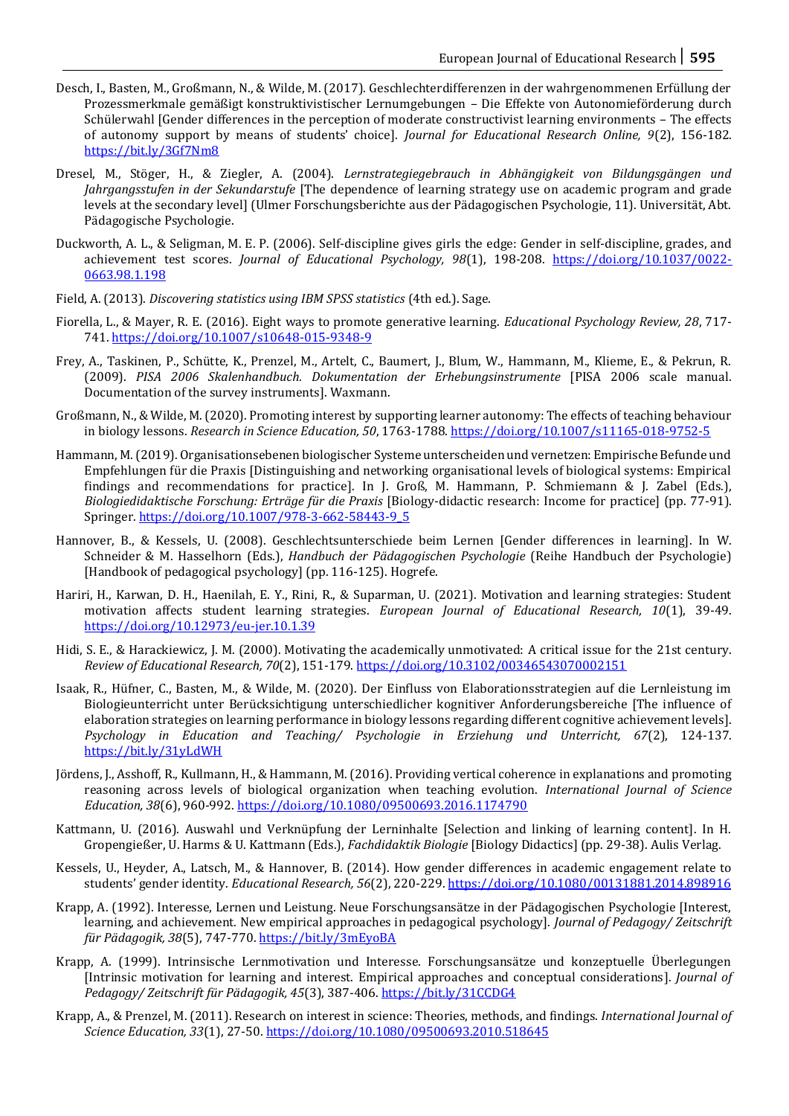- Desch, I., Basten, M., Großmann, N., & Wilde, M. (2017). Geschlechterdifferenzen in der wahrgenommenen Erfüllung der Prozessmerkmale gemäßigt konstruktivistischer Lernumgebungen – Die Effekte von Autonomieförderung durch Schülerwahl [Gender differences in the perception of moderate constructivist learning environments – The effects of autonomy support by means of students' choice]. *Journal for Educational Research Online, 9*(2), 156-182. <https://bit.ly/3Gf7Nm8>
- Dresel, M., Stöger, H., & Ziegler, A. (2004). *Lernstrategiegebrauch in Abhängigkeit von Bildungsgängen und Jahrgangsstufen in der Sekundarstufe* [The dependence of learning strategy use on academic program and grade levels at the secondary level] (Ulmer Forschungsberichte aus der Pädagogischen Psychologie, 11). Universität, Abt. Pädagogische Psychologie.
- Duckworth, A. L., & Seligman, M. E. P. (2006). Self-discipline gives girls the edge: Gender in self-discipline, grades, and achievement test scores. *Journal of Educational Psychology, 98*(1), 198-208. [https://doi.org/10.1037/0022-](https://doi.org/10.1037/0022-0663.98.1.198) [0663.98.1.198](https://doi.org/10.1037/0022-0663.98.1.198)
- Field, A. (2013). *Discovering statistics using IBM SPSS statistics* (4th ed.). Sage.
- Fiorella, L., & Mayer, R. E. (2016). Eight ways to promote generative learning. *Educational Psychology Review, 28*, 717- 741[. https://doi.org/10.1007/s10648-015-9348-9](https://doi.org/10.1007/s10648-015-9348-9)
- Frey, A., Taskinen, P., Schütte, K., Prenzel, M., Artelt, C., Baumert, J., Blum, W., Hammann, M., Klieme, E., & Pekrun, R. (2009). *PISA 2006 Skalenhandbuch. Dokumentation der Erhebungsinstrumente* [PISA 2006 scale manual. Documentation of the survey instruments]. Waxmann.
- Großmann, N., & Wilde, M. (2020). Promoting interest by supporting learner autonomy: The effects of teaching behaviour in biology lessons. *Research in Science Education, 50*, 1763-1788[. https://doi.org/10.1007/s11165-018-9752-5](https://doi.org/10.1007/s11165-018-9752-5)
- Hammann, M. (2019). Organisationsebenen biologischer Systeme unterscheiden und vernetzen: Empirische Befunde und Empfehlungen für die Praxis [Distinguishing and networking organisational levels of biological systems: Empirical findings and recommendations for practice]. In J. Groß, M. Hammann, P. Schmiemann & J. Zabel (Eds.), *Biologiedidaktische Forschung: Erträge für die Praxis* [Biology-didactic research: Income for practice] (pp. 77-91). Springer. [https://doi.org/10.1007/978-3-662-58443-9\\_5](https://doi.org/10.1007/978-3-662-58443-9_5)
- Hannover, B., & Kessels, U. (2008). Geschlechtsunterschiede beim Lernen [Gender differences in learning]. In W. Schneider & M. Hasselhorn (Eds.), *Handbuch der Pädagogischen Psychologie* (Reihe Handbuch der Psychologie) [Handbook of pedagogical psychology] (pp. 116-125). Hogrefe.
- Hariri, H., Karwan, D. H., Haenilah, E. Y., Rini, R., & Suparman, U. (2021). Motivation and learning strategies: Student motivation affects student learning strategies. *European Journal of Educational Research, 10*(1), 39-49. <https://doi.org/10.12973/eu-jer.10.1.39>
- Hidi, S. E., & Harackiewicz, J. M. (2000). Motivating the academically unmotivated: A critical issue for the 21st century. *Review of Educational Research, 70*(2), 151-179.<https://doi.org/10.3102/00346543070002151>
- Isaak, R., Hüfner, C., Basten, M., & Wilde, M. (2020). Der Einfluss von Elaborationsstrategien auf die Lernleistung im Biologieunterricht unter Berücksichtigung unterschiedlicher kognitiver Anforderungsbereiche [The influence of elaboration strategies on learning performance in biology lessons regarding different cognitive achievement levels]. *Psychology in Education and Teaching/ Psychologie in Erziehung und Unterricht, 67*(2), 124-137. <https://bit.ly/31yLdWH>
- Jördens, J., Asshoff, R., Kullmann, H., & Hammann, M. (2016). Providing vertical coherence in explanations and promoting reasoning across levels of biological organization when teaching evolution. *International Journal of Science Education, 38*(6), 960-992[. https://doi.org/10.1080/09500693.2016.1174790](https://doi.org/10.1080/09500693.2016.1174790)
- Kattmann, U. (2016). Auswahl und Verknüpfung der Lerninhalte [Selection and linking of learning content]. In H. Gropengießer, U. Harms & U. Kattmann (Eds.), *Fachdidaktik Biologie* [Biology Didactics] (pp. 29-38). Aulis Verlag.
- Kessels, U., Heyder, A., Latsch, M., & Hannover, B. (2014). How gender differences in academic engagement relate to students' gender identity. *Educational Research, 56*(2), 220-229. <https://doi.org/10.1080/00131881.2014.898916>
- Krapp, A. (1992). Interesse, Lernen und Leistung. Neue Forschungsansätze in der Pädagogischen Psychologie [Interest, learning, and achievement. New empirical approaches in pedagogical psychology]. *Journal of Pedagogy/ Zeitschrift für Pädagogik, 38*(5), 747-770.<https://bit.ly/3mEyoBA>
- Krapp, A. (1999). Intrinsische Lernmotivation und Interesse. Forschungsansätze und konzeptuelle Überlegungen [Intrinsic motivation for learning and interest. Empirical approaches and conceptual considerations]. *Journal of Pedagogy/ Zeitschrift für Pädagogik, 45*(3), 387-406.<https://bit.ly/31CCDG4>
- Krapp, A., & Prenzel, M. (2011). Research on interest in science: Theories, methods, and findings. *International Journal of Science Education, 33*(1), 27-50.<https://doi.org/10.1080/09500693.2010.518645>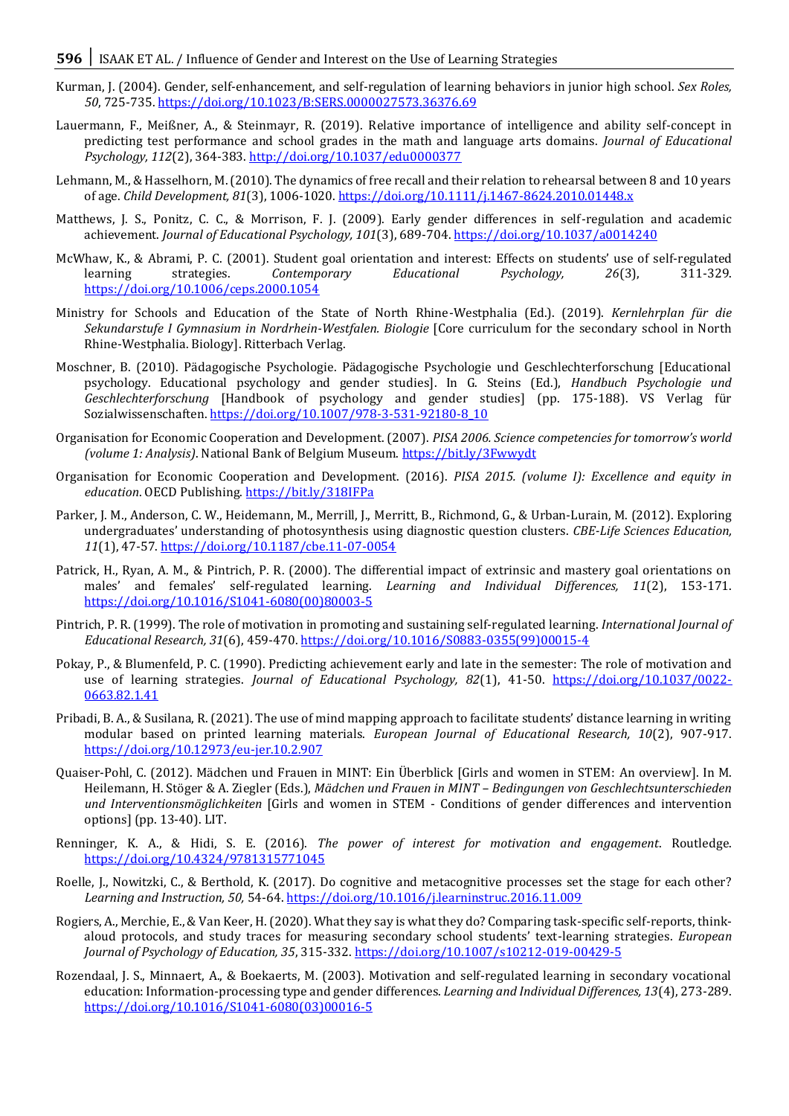- **596** SAAK ET AL. / Influence of Gender and Interest on the Use of Learning Strategies
- Kurman, J. (2004). Gender, self-enhancement, and self-regulation of learning behaviors in junior high school. *Sex Roles, 50*, 725-735[. https://doi.org/10.1023/B:SERS.0000027573.36376.69](https://doi.org/10.1023/B:SERS.0000027573.36376.69)
- Lauermann, F., Meißner, A., & Steinmayr, R. (2019). Relative importance of intelligence and ability self-concept in predicting test performance and school grades in the math and language arts domains. *Journal of Educational Psychology, 112*(2), 364-383[. http://doi.org/10.1037/edu0000377](http://doi.org/10.1037/edu0000377)
- Lehmann, M., & Hasselhorn, M. (2010). The dynamics of free recall and their relation to rehearsal between 8 and 10 years of age. *Child Development, 81*(3), 1006-1020. <https://doi.org/10.1111/j.1467-8624.2010.01448.x>
- Matthews, J. S., Ponitz, C. C., & Morrison, F. J. (2009). Early gender differences in self-regulation and academic achievement. *Journal of Educational Psychology, 101*(3), 689-704.<https://doi.org/10.1037/a0014240>
- McWhaw, K., & Abrami, P. C. (2001). Student goal orientation and interest: Effects on students' use of self-regulated learning strategies. *Contemporary Educational Psychology, 26*(3), 311-329. <https://doi.org/10.1006/ceps.2000.1054>
- Ministry for Schools and Education of the State of North Rhine-Westphalia (Ed.). (2019). *Kernlehrplan für die Sekundarstufe I Gymnasium in Nordrhein-Westfalen. Biologie* [Core curriculum for the secondary school in North Rhine-Westphalia. Biology]. Ritterbach Verlag.
- Moschner, B. (2010). Pädagogische Psychologie. Pädagogische Psychologie und Geschlechterforschung [Educational psychology. Educational psychology and gender studies]. In G. Steins (Ed.), *Handbuch Psychologie und Geschlechterforschung* [Handbook of psychology and gender studies] (pp. 175-188). VS Verlag für Sozialwissenschaften. [https://doi.org/10.1007/978-3-531-92180-8\\_10](https://doi.org/10.1007/978-3-531-92180-8_10)
- Organisation for Economic Cooperation and Development. (2007). *PISA 2006. Science competencies for tomorrow's world (volume 1: Analysis)*. National Bank of Belgium Museum[. https://bit.ly/3Fwwydt](https://bit.ly/3Fwwydt)
- Organisation for Economic Cooperation and Development. (2016). *PISA 2015. (volume I): Excellence and equity in*  education. OECD Publishing[. https://bit.ly/318IFPa](https://bit.ly/318IFPa)
- Parker, J. M., Anderson, C. W., Heidemann, M., Merrill, J., Merritt, B., Richmond, G., & Urban-Lurain, M. (2012). Exploring undergraduates' understanding of photosynthesis using diagnostic question clusters. *CBE-Life Sciences Education, 11*(1), 47-57[. https://doi.org/10.1187/cbe.11-07-0054](https://doi.org/10.1187/cbe.11-07-0054)
- Patrick, H., Ryan, A. M., & Pintrich, P. R. (2000). The differential impact of extrinsic and mastery goal orientations on males' and females' self-regulated learning. *Learning and Individual Differences, 11*(2), 153-171. [https://doi.org/10.1016/S1041-6080\(00\)80003-5](https://doi.org/10.1016/S1041-6080(00)80003-5)
- Pintrich, P. R. (1999). The role of motivation in promoting and sustaining self-regulated learning. *International Journal of Educational Research, 31*(6), 459-470[. https://doi.org/10.1016/S0883-0355\(99\)00015-4](https://doi.org/10.1016/S0883-0355(99)00015-4)
- Pokay, P., & Blumenfeld, P. C. (1990). Predicting achievement early and late in the semester: The role of motivation and use of learning strategies. *Journal of Educational Psychology, 82*(1), 41-50. [https://doi.org/10.1037/0022-](https://doi.org/10.1037/0022-0663.82.1.41) [0663.82.1.41](https://doi.org/10.1037/0022-0663.82.1.41)
- Pribadi, B. A., & Susilana, R. (2021). The use of mind mapping approach to facilitate students' distance learning in writing modular based on printed learning materials. *European Journal of Educational Research, 10*(2), 907-917. <https://doi.org/10.12973/eu-jer.10.2.907>
- Quaiser-Pohl, C. (2012). Mädchen und Frauen in MINT: Ein Überblick [Girls and women in STEM: An overview]. In M. Heilemann, H. Stöger & A. Ziegler (Eds.), *Mädchen und Frauen in MINT – Bedingungen von Geschlechtsunterschieden und Interventionsmöglichkeiten* [Girls and women in STEM - Conditions of gender differences and intervention options] (pp. 13-40). LIT.
- Renninger, K. A., & Hidi, S. E. (2016). *The power of interest for motivation and engagement*. Routledge. <https://doi.org/10.4324/9781315771045>
- Roelle, J., Nowitzki, C., & Berthold, K. (2017). Do cognitive and metacognitive processes set the stage for each other? *Learning and Instruction, 50,* 54-64[. https://doi.org/10.1016/j.learninstruc.2016.11.009](https://doi.org/10.1016/j.learninstruc.2016.11.009)
- Rogiers, A., Merchie, E., & Van Keer, H. (2020). What they say is what they do? Comparing task-specific self-reports, thinkaloud protocols, and study traces for measuring secondary school students' text-learning strategies. *European Journal of Psychology of Education, 35*, 315-332.<https://doi.org/10.1007/s10212-019-00429-5>
- Rozendaal, J. S., Minnaert, A., & Boekaerts, M. (2003). Motivation and self-regulated learning in secondary vocational education: Information-processing type and gender differences. *Learning and Individual Differences, 13*(4), 273-289. [https://doi.org/10.1016/S1041-6080\(03\)00016-5](https://doi.org/10.1016/S1041-6080(03)00016-5)